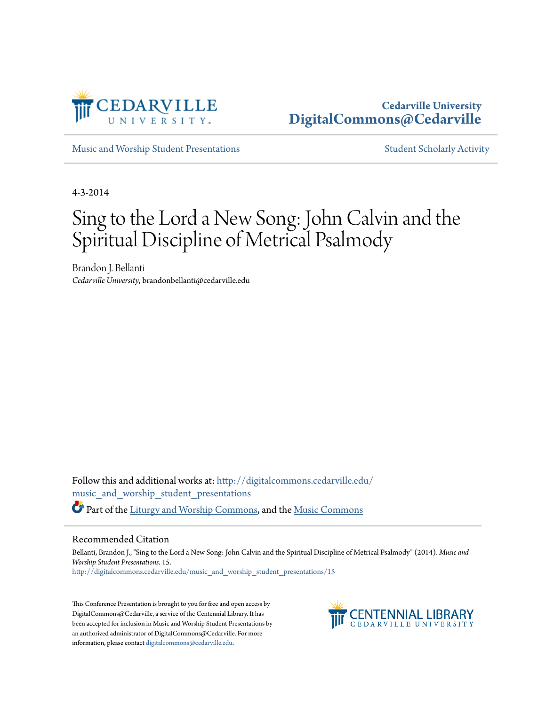

#### **Cedarville University [DigitalCommons@Cedarville](http://digitalcommons.cedarville.edu?utm_source=digitalcommons.cedarville.edu%2Fmusic_and_worship_student_presentations%2F15&utm_medium=PDF&utm_campaign=PDFCoverPages)**

[Music and Worship Student Presentations](http://digitalcommons.cedarville.edu/music_and_worship_student_presentations?utm_source=digitalcommons.cedarville.edu%2Fmusic_and_worship_student_presentations%2F15&utm_medium=PDF&utm_campaign=PDFCoverPages) **[Student Scholarly Activity](http://digitalcommons.cedarville.edu/music_student_scholarly_activity?utm_source=digitalcommons.cedarville.edu%2Fmusic_and_worship_student_presentations%2F15&utm_medium=PDF&utm_campaign=PDFCoverPages)** Student Scholarly Activity

4-3-2014

# Sing to the Lord a New Song: John Calvin and the Spiritual Discipline of Metrical Psalmody

Brandon J. Bellanti *Cedarville University*, brandonbellanti@cedarville.edu

Follow this and additional works at: [http://digitalcommons.cedarville.edu/](http://digitalcommons.cedarville.edu/music_and_worship_student_presentations?utm_source=digitalcommons.cedarville.edu%2Fmusic_and_worship_student_presentations%2F15&utm_medium=PDF&utm_campaign=PDFCoverPages) [music\\_and\\_worship\\_student\\_presentations](http://digitalcommons.cedarville.edu/music_and_worship_student_presentations?utm_source=digitalcommons.cedarville.edu%2Fmusic_and_worship_student_presentations%2F15&utm_medium=PDF&utm_campaign=PDFCoverPages) Part of the [Liturgy and Worship Commons,](http://network.bepress.com/hgg/discipline/1188?utm_source=digitalcommons.cedarville.edu%2Fmusic_and_worship_student_presentations%2F15&utm_medium=PDF&utm_campaign=PDFCoverPages) and the [Music Commons](http://network.bepress.com/hgg/discipline/518?utm_source=digitalcommons.cedarville.edu%2Fmusic_and_worship_student_presentations%2F15&utm_medium=PDF&utm_campaign=PDFCoverPages)

#### Recommended Citation

Bellanti, Brandon J., "Sing to the Lord a New Song: John Calvin and the Spiritual Discipline of Metrical Psalmody" (2014). *Music and Worship Student Presentations*. 15. [http://digitalcommons.cedarville.edu/music\\_and\\_worship\\_student\\_presentations/15](http://digitalcommons.cedarville.edu/music_and_worship_student_presentations/15?utm_source=digitalcommons.cedarville.edu%2Fmusic_and_worship_student_presentations%2F15&utm_medium=PDF&utm_campaign=PDFCoverPages)

This Conference Presentation is brought to you for free and open access by DigitalCommons@Cedarville, a service of the Centennial Library. It has been accepted for inclusion in Music and Worship Student Presentations by an authorized administrator of DigitalCommons@Cedarville. For more information, please contact [digitalcommons@cedarville.edu.](mailto:digitalcommons@cedarville.edu)

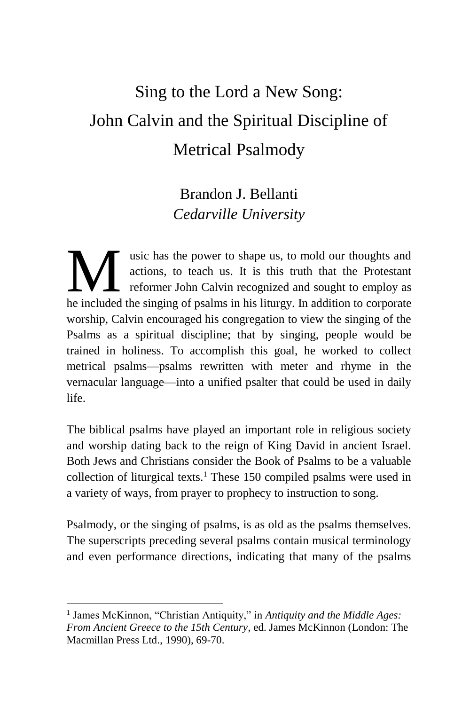## Sing to the Lord a New Song: John Calvin and the Spiritual Discipline of Metrical Psalmody

### Brandon J. Bellanti *Cedarville University*

usic has the power to shape us, to mold our thoughts and actions, to teach us. It is this truth that the Protestant reformer John Calvin recognized and sought to employ as wic has the power to shape us, to mold our thoughts and actions, to teach us. It is this truth that the Protestant reformer John Calvin recognized and sought to employ as the included the singing of psalms in his liturgy. worship, Calvin encouraged his congregation to view the singing of the Psalms as a spiritual discipline; that by singing, people would be trained in holiness. To accomplish this goal, he worked to collect metrical psalms—psalms rewritten with meter and rhyme in the vernacular language—into a unified psalter that could be used in daily life.

The biblical psalms have played an important role in religious society and worship dating back to the reign of King David in ancient Israel. Both Jews and Christians consider the Book of Psalms to be a valuable collection of liturgical texts.<sup>1</sup> These 150 compiled psalms were used in a variety of ways, from prayer to prophecy to instruction to song.

Psalmody, or the singing of psalms, is as old as the psalms themselves. The superscripts preceding several psalms contain musical terminology and even performance directions, indicating that many of the psalms

<sup>1</sup> James McKinnon, "Christian Antiquity," in *Antiquity and the Middle Ages: From Ancient Greece to the 15th Century*, ed. James McKinnon (London: The Macmillan Press Ltd., 1990), 69-70.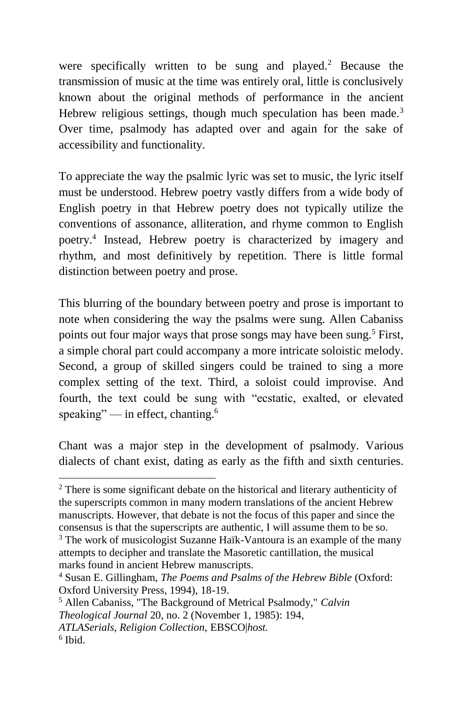were specifically written to be sung and played.<sup>2</sup> Because the transmission of music at the time was entirely oral, little is conclusively known about the original methods of performance in the ancient Hebrew religious settings, though much speculation has been made.<sup>3</sup> Over time, psalmody has adapted over and again for the sake of accessibility and functionality.

To appreciate the way the psalmic lyric was set to music, the lyric itself must be understood. Hebrew poetry vastly differs from a wide body of English poetry in that Hebrew poetry does not typically utilize the conventions of assonance, alliteration, and rhyme common to English poetry.<sup>4</sup> Instead, Hebrew poetry is characterized by imagery and rhythm, and most definitively by repetition. There is little formal distinction between poetry and prose.

This blurring of the boundary between poetry and prose is important to note when considering the way the psalms were sung. Allen Cabaniss points out four major ways that prose songs may have been sung.<sup>5</sup> First, a simple choral part could accompany a more intricate soloistic melody. Second, a group of skilled singers could be trained to sing a more complex setting of the text. Third, a soloist could improvise. And fourth, the text could be sung with "ecstatic, exalted, or elevated speaking" — in effect, chanting.<sup>6</sup>

Chant was a major step in the development of psalmody. Various dialects of chant exist, dating as early as the fifth and sixth centuries.

<sup>2</sup> There is some significant debate on the historical and literary authenticity of the superscripts common in many modern translations of the ancient Hebrew manuscripts. However, that debate is not the focus of this paper and since the consensus is that the superscripts are authentic, I will assume them to be so.

<sup>&</sup>lt;sup>3</sup> The work of musicologist Suzanne Haïk-Vantoura is an example of the many attempts to decipher and translate the Masoretic cantillation, the musical marks found in ancient Hebrew manuscripts.

<sup>4</sup> Susan E. Gillingham, *The Poems and Psalms of the Hebrew Bible* (Oxford: Oxford University Press, 1994), 18-19.

<sup>5</sup> Allen Cabaniss, "The Background of Metrical Psalmody," *Calvin Theological Journal* 20, no. 2 (November 1, 1985): 194, *ATLASerials, Religion Collection,* EBSCO|*host.* 6 Ibid.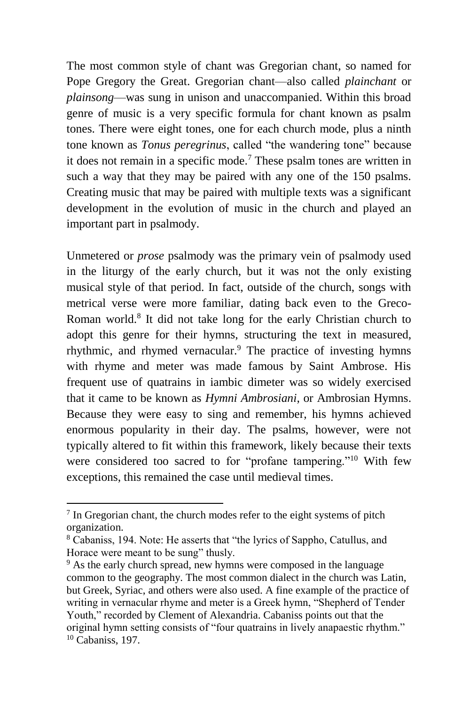The most common style of chant was Gregorian chant, so named for Pope Gregory the Great. Gregorian chant—also called *plainchant* or *plainsong*—was sung in unison and unaccompanied. Within this broad genre of music is a very specific formula for chant known as psalm tones. There were eight tones, one for each church mode, plus a ninth tone known as *Tonus peregrinus*, called "the wandering tone" because it does not remain in a specific mode.<sup>7</sup> These psalm tones are written in such a way that they may be paired with any one of the 150 psalms. Creating music that may be paired with multiple texts was a significant development in the evolution of music in the church and played an important part in psalmody.

Unmetered or *prose* psalmody was the primary vein of psalmody used in the liturgy of the early church, but it was not the only existing musical style of that period. In fact, outside of the church, songs with metrical verse were more familiar, dating back even to the Greco-Roman world.<sup>8</sup> It did not take long for the early Christian church to adopt this genre for their hymns, structuring the text in measured, rhythmic, and rhymed vernacular.<sup>9</sup> The practice of investing hymns with rhyme and meter was made famous by Saint Ambrose. His frequent use of quatrains in iambic dimeter was so widely exercised that it came to be known as *Hymni Ambrosiani*, or Ambrosian Hymns. Because they were easy to sing and remember, his hymns achieved enormous popularity in their day. The psalms, however, were not typically altered to fit within this framework, likely because their texts were considered too sacred to for "profane tampering."<sup>10</sup> With few exceptions, this remained the case until medieval times.

 $7$  In Gregorian chant, the church modes refer to the eight systems of pitch organization.

<sup>8</sup> Cabaniss, 194. Note: He asserts that "the lyrics of Sappho, Catullus, and Horace were meant to be sung" thusly.

<sup>&</sup>lt;sup>9</sup> As the early church spread, new hymns were composed in the language common to the geography. The most common dialect in the church was Latin, but Greek, Syriac, and others were also used. A fine example of the practice of writing in vernacular rhyme and meter is a Greek hymn, "Shepherd of Tender Youth," recorded by Clement of Alexandria. Cabaniss points out that the original hymn setting consists of "four quatrains in lively anapaestic rhythm."  $10$  Cabaniss, 197.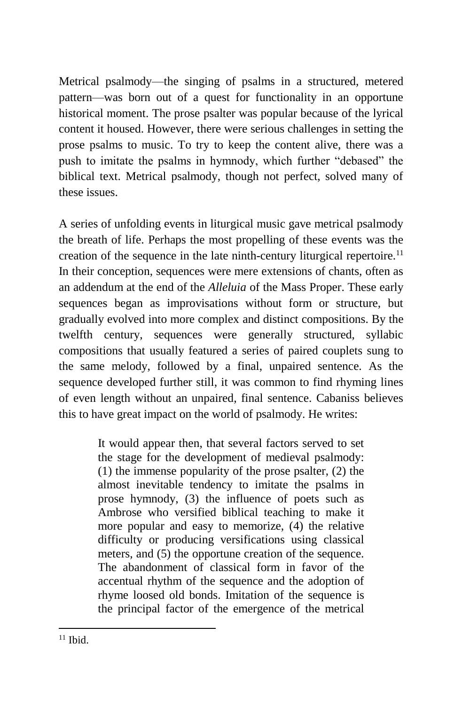Metrical psalmody—the singing of psalms in a structured, metered pattern—was born out of a quest for functionality in an opportune historical moment. The prose psalter was popular because of the lyrical content it housed. However, there were serious challenges in setting the prose psalms to music. To try to keep the content alive, there was a push to imitate the psalms in hymnody, which further "debased" the biblical text. Metrical psalmody, though not perfect, solved many of these issues.

A series of unfolding events in liturgical music gave metrical psalmody the breath of life. Perhaps the most propelling of these events was the creation of the sequence in the late ninth-century liturgical repertoire.<sup>11</sup> In their conception, sequences were mere extensions of chants, often as an addendum at the end of the *Alleluia* of the Mass Proper. These early sequences began as improvisations without form or structure, but gradually evolved into more complex and distinct compositions. By the twelfth century, sequences were generally structured, syllabic compositions that usually featured a series of paired couplets sung to the same melody, followed by a final, unpaired sentence. As the sequence developed further still, it was common to find rhyming lines of even length without an unpaired, final sentence. Cabaniss believes this to have great impact on the world of psalmody. He writes:

> It would appear then, that several factors served to set the stage for the development of medieval psalmody: (1) the immense popularity of the prose psalter, (2) the almost inevitable tendency to imitate the psalms in prose hymnody, (3) the influence of poets such as Ambrose who versified biblical teaching to make it more popular and easy to memorize, (4) the relative difficulty or producing versifications using classical meters, and (5) the opportune creation of the sequence. The abandonment of classical form in favor of the accentual rhythm of the sequence and the adoption of rhyme loosed old bonds. Imitation of the sequence is the principal factor of the emergence of the metrical

  $11$  Ibid.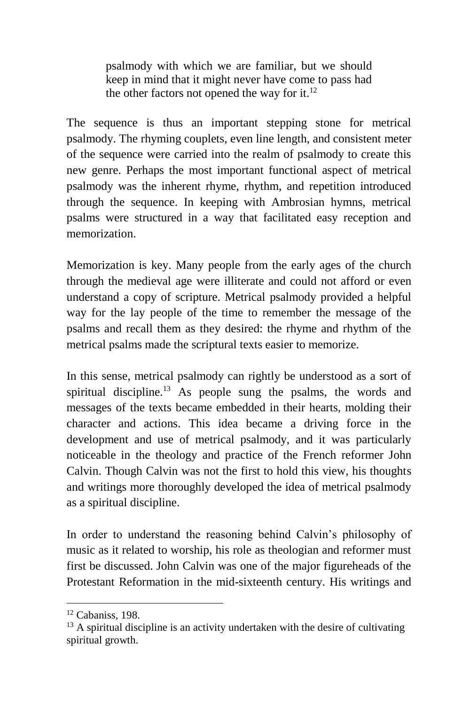psalmody with which we are familiar, but we should keep in mind that it might never have come to pass had the other factors not opened the way for it. $^{12}$ 

The sequence is thus an important stepping stone for metrical psalmody. The rhyming couplets, even line length, and consistent meter of the sequence were carried into the realm of psalmody to create this new genre. Perhaps the most important functional aspect of metrical psalmody was the inherent rhyme, rhythm, and repetition introduced through the sequence. In keeping with Ambrosian hymns, metrical psalms were structured in a way that facilitated easy reception and memorization.

Memorization is key. Many people from the early ages of the church through the medieval age were illiterate and could not afford or even understand a copy of scripture. Metrical psalmody provided a helpful way for the lay people of the time to remember the message of the psalms and recall them as they desired: the rhyme and rhythm of the metrical psalms made the scriptural texts easier to memorize.

In this sense, metrical psalmody can rightly be understood as a sort of spiritual discipline.<sup>13</sup> As people sung the psalms, the words and messages of the texts became embedded in their hearts, molding their character and actions. This idea became a driving force in the development and use of metrical psalmody, and it was particularly noticeable in the theology and practice of the French reformer John Calvin. Though Calvin was not the first to hold this view, his thoughts and writings more thoroughly developed the idea of metrical psalmody as a spiritual discipline.

In order to understand the reasoning behind Calvin's philosophy of music as it related to worship, his role as theologian and reformer must first be discussed. John Calvin was one of the major figureheads of the Protestant Reformation in the mid-sixteenth century. His writings and

 $12$  Cabaniss, 198.

 $13$  A spiritual discipline is an activity undertaken with the desire of cultivating spiritual growth.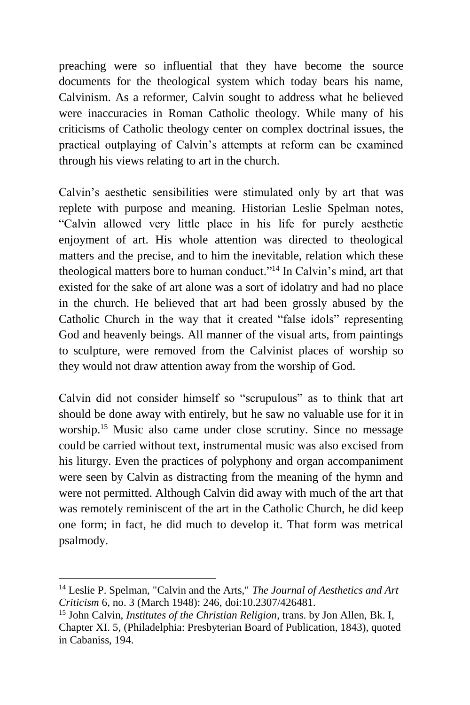preaching were so influential that they have become the source documents for the theological system which today bears his name, Calvinism. As a reformer, Calvin sought to address what he believed were inaccuracies in Roman Catholic theology. While many of his criticisms of Catholic theology center on complex doctrinal issues, the practical outplaying of Calvin's attempts at reform can be examined through his views relating to art in the church.

Calvin's aesthetic sensibilities were stimulated only by art that was replete with purpose and meaning. Historian Leslie Spelman notes, "Calvin allowed very little place in his life for purely aesthetic enjoyment of art. His whole attention was directed to theological matters and the precise, and to him the inevitable, relation which these theological matters bore to human conduct."<sup>14</sup> In Calvin's mind, art that existed for the sake of art alone was a sort of idolatry and had no place in the church. He believed that art had been grossly abused by the Catholic Church in the way that it created "false idols" representing God and heavenly beings. All manner of the visual arts, from paintings to sculpture, were removed from the Calvinist places of worship so they would not draw attention away from the worship of God.

Calvin did not consider himself so "scrupulous" as to think that art should be done away with entirely, but he saw no valuable use for it in worship.<sup>15</sup> Music also came under close scrutiny. Since no message could be carried without text, instrumental music was also excised from his liturgy. Even the practices of polyphony and organ accompaniment were seen by Calvin as distracting from the meaning of the hymn and were not permitted. Although Calvin did away with much of the art that was remotely reminiscent of the art in the Catholic Church, he did keep one form; in fact, he did much to develop it. That form was metrical psalmody.

<sup>14</sup> Leslie P. Spelman, "Calvin and the Arts," *The Journal of Aesthetics and Art Criticism* 6, no. 3 (March 1948): 246, doi:10.2307/426481.

<sup>15</sup> John Calvin, *Institutes of the Christian Religion*, trans. by Jon Allen, Bk. I, Chapter XI. 5, (Philadelphia: Presbyterian Board of Publication, 1843), quoted in Cabaniss, 194.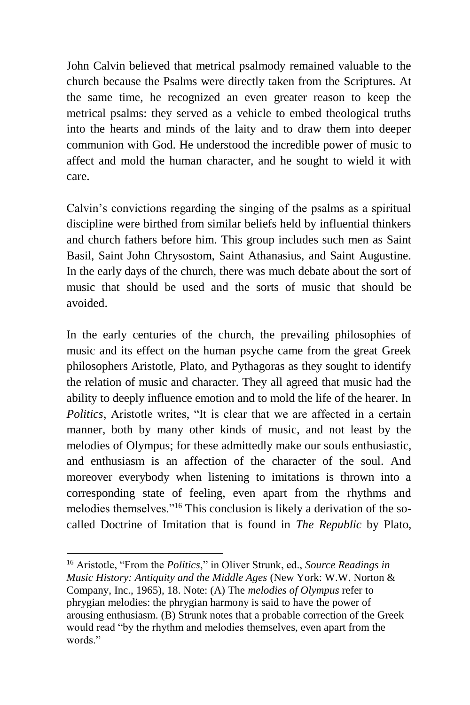John Calvin believed that metrical psalmody remained valuable to the church because the Psalms were directly taken from the Scriptures. At the same time, he recognized an even greater reason to keep the metrical psalms: they served as a vehicle to embed theological truths into the hearts and minds of the laity and to draw them into deeper communion with God. He understood the incredible power of music to affect and mold the human character, and he sought to wield it with care.

Calvin's convictions regarding the singing of the psalms as a spiritual discipline were birthed from similar beliefs held by influential thinkers and church fathers before him. This group includes such men as Saint Basil, Saint John Chrysostom, Saint Athanasius, and Saint Augustine. In the early days of the church, there was much debate about the sort of music that should be used and the sorts of music that should be avoided.

In the early centuries of the church, the prevailing philosophies of music and its effect on the human psyche came from the great Greek philosophers Aristotle, Plato, and Pythagoras as they sought to identify the relation of music and character. They all agreed that music had the ability to deeply influence emotion and to mold the life of the hearer. In *Politics*, Aristotle writes, "It is clear that we are affected in a certain manner, both by many other kinds of music, and not least by the melodies of Olympus; for these admittedly make our souls enthusiastic, and enthusiasm is an affection of the character of the soul. And moreover everybody when listening to imitations is thrown into a corresponding state of feeling, even apart from the rhythms and melodies themselves."<sup>16</sup> This conclusion is likely a derivation of the socalled Doctrine of Imitation that is found in *The Republic* by Plato,

<sup>16</sup> Aristotle, "From the *Politics*," in Oliver Strunk, ed., *Source Readings in Music History: Antiquity and the Middle Ages* (New York: W.W. Norton & Company, Inc., 1965), 18. Note: (A) The *melodies of Olympus* refer to phrygian melodies: the phrygian harmony is said to have the power of arousing enthusiasm. (B) Strunk notes that a probable correction of the Greek would read "by the rhythm and melodies themselves, even apart from the words."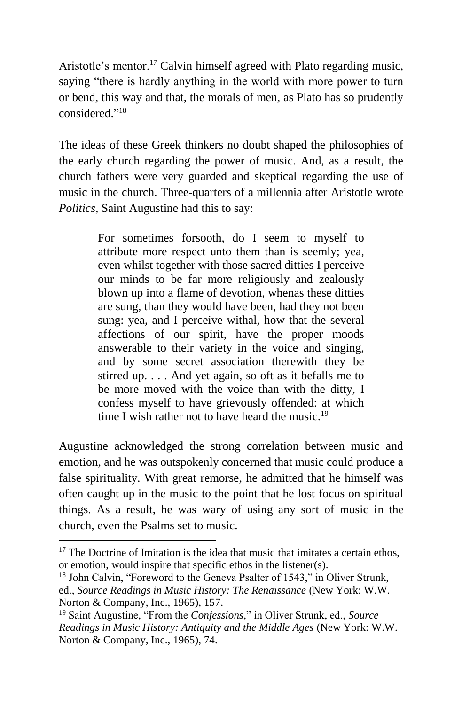Aristotle's mentor.<sup>17</sup> Calvin himself agreed with Plato regarding music, saying "there is hardly anything in the world with more power to turn or bend, this way and that, the morals of men, as Plato has so prudently considered." 18

The ideas of these Greek thinkers no doubt shaped the philosophies of the early church regarding the power of music. And, as a result, the church fathers were very guarded and skeptical regarding the use of music in the church. Three-quarters of a millennia after Aristotle wrote *Politics*, Saint Augustine had this to say:

> For sometimes forsooth, do I seem to myself to attribute more respect unto them than is seemly; yea, even whilst together with those sacred ditties I perceive our minds to be far more religiously and zealously blown up into a flame of devotion, whenas these ditties are sung, than they would have been, had they not been sung: yea, and I perceive withal, how that the several affections of our spirit, have the proper moods answerable to their variety in the voice and singing, and by some secret association therewith they be stirred up. . . . And yet again, so oft as it befalls me to be more moved with the voice than with the ditty, I confess myself to have grievously offended: at which time I wish rather not to have heard the music.<sup>19</sup>

Augustine acknowledged the strong correlation between music and emotion, and he was outspokenly concerned that music could produce a false spirituality. With great remorse, he admitted that he himself was often caught up in the music to the point that he lost focus on spiritual things. As a result, he was wary of using any sort of music in the church, even the Psalms set to music.

 $17$  The Doctrine of Imitation is the idea that music that imitates a certain ethos. or emotion, would inspire that specific ethos in the listener(s).

<sup>&</sup>lt;sup>18</sup> John Calvin, "Foreword to the Geneva Psalter of 1543," in Oliver Strunk, ed., *Source Readings in Music History: The Renaissance* (New York: W.W. Norton & Company, Inc., 1965), 157.

<sup>19</sup> Saint Augustine, "From the *Confessions*," in Oliver Strunk, ed., *Source Readings in Music History: Antiquity and the Middle Ages* (New York: W.W. Norton & Company, Inc., 1965), 74.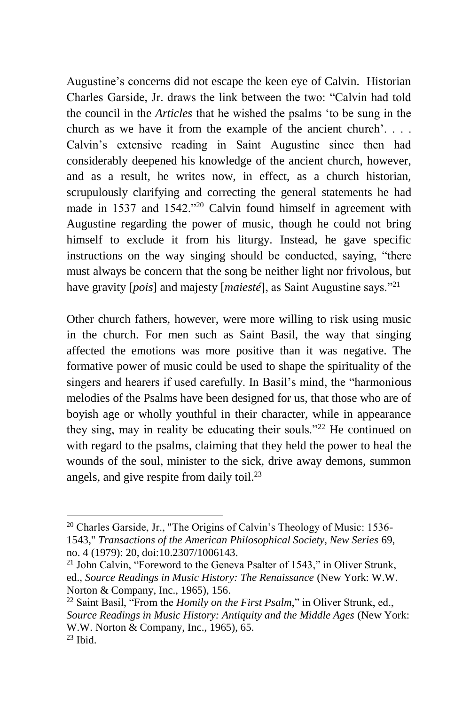Augustine's concerns did not escape the keen eye of Calvin. Historian Charles Garside, Jr. draws the link between the two: "Calvin had told the council in the *Articles* that he wished the psalms 'to be sung in the church as we have it from the example of the ancient church'. . . . Calvin's extensive reading in Saint Augustine since then had considerably deepened his knowledge of the ancient church, however, and as a result, he writes now, in effect, as a church historian, scrupulously clarifying and correcting the general statements he had made in 1537 and 1542."<sup>20</sup> Calvin found himself in agreement with Augustine regarding the power of music, though he could not bring himself to exclude it from his liturgy. Instead, he gave specific instructions on the way singing should be conducted, saying, "there must always be concern that the song be neither light nor frivolous, but have gravity [*pois*] and majesty [*maiesté*], as Saint Augustine says."<sup>21</sup>

Other church fathers, however, were more willing to risk using music in the church. For men such as Saint Basil, the way that singing affected the emotions was more positive than it was negative. The formative power of music could be used to shape the spirituality of the singers and hearers if used carefully. In Basil's mind, the "harmonious melodies of the Psalms have been designed for us, that those who are of boyish age or wholly youthful in their character, while in appearance they sing, may in reality be educating their souls."<sup>22</sup> He continued on with regard to the psalms, claiming that they held the power to heal the wounds of the soul, minister to the sick, drive away demons, summon angels, and give respite from daily toil.<sup>23</sup>

<sup>20</sup> Charles Garside, Jr., "The Origins of Calvin's Theology of Music: 1536- 1543," *Transactions of the American Philosophical Society, New Series* 69, no. 4 (1979): 20, doi:10.2307/1006143.

 $21$  John Calvin, "Foreword to the Geneva Psalter of 1543," in Oliver Strunk, ed., *Source Readings in Music History: The Renaissance* (New York: W.W. Norton & Company, Inc., 1965), 156.

<sup>22</sup> Saint Basil, "From the *Homily on the First Psalm*," in Oliver Strunk, ed., *Source Readings in Music History: Antiquity and the Middle Ages* (New York: W.W. Norton & Company, Inc., 1965), 65.  $23$  Ibid.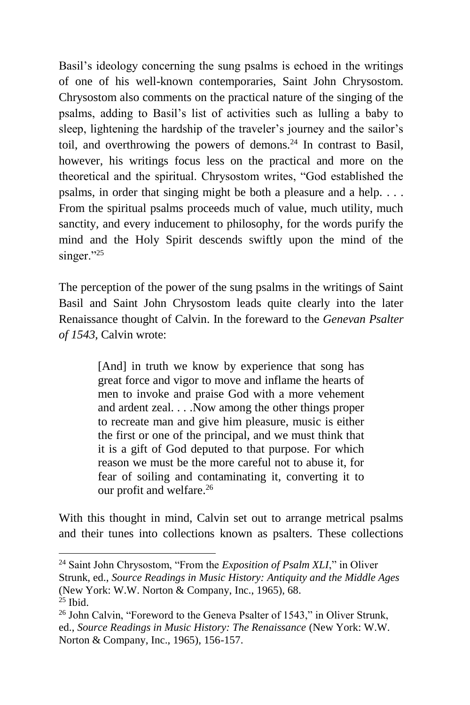Basil's ideology concerning the sung psalms is echoed in the writings of one of his well-known contemporaries, Saint John Chrysostom. Chrysostom also comments on the practical nature of the singing of the psalms, adding to Basil's list of activities such as lulling a baby to sleep, lightening the hardship of the traveler's journey and the sailor's toil, and overthrowing the powers of demons.<sup>24</sup> In contrast to Basil, however, his writings focus less on the practical and more on the theoretical and the spiritual. Chrysostom writes, "God established the psalms, in order that singing might be both a pleasure and a help. . . . From the spiritual psalms proceeds much of value, much utility, much sanctity, and every inducement to philosophy, for the words purify the mind and the Holy Spirit descends swiftly upon the mind of the singer."25

The perception of the power of the sung psalms in the writings of Saint Basil and Saint John Chrysostom leads quite clearly into the later Renaissance thought of Calvin. In the foreward to the *Genevan Psalter of 1543*, Calvin wrote:

> [And] in truth we know by experience that song has great force and vigor to move and inflame the hearts of men to invoke and praise God with a more vehement and ardent zeal. . . .Now among the other things proper to recreate man and give him pleasure, music is either the first or one of the principal, and we must think that it is a gift of God deputed to that purpose. For which reason we must be the more careful not to abuse it, for fear of soiling and contaminating it, converting it to our profit and welfare.<sup>26</sup>

With this thought in mind, Calvin set out to arrange metrical psalms and their tunes into collections known as psalters. These collections

<sup>24</sup> Saint John Chrysostom, "From the *Exposition of Psalm XLI*," in Oliver Strunk, ed., *Source Readings in Music History: Antiquity and the Middle Ages* (New York: W.W. Norton & Company, Inc., 1965), 68.  $25$  Ibid.

<sup>&</sup>lt;sup>26</sup> John Calvin, "Foreword to the Geneva Psalter of 1543," in Oliver Strunk, ed., *Source Readings in Music History: The Renaissance* (New York: W.W. Norton & Company, Inc., 1965), 156-157.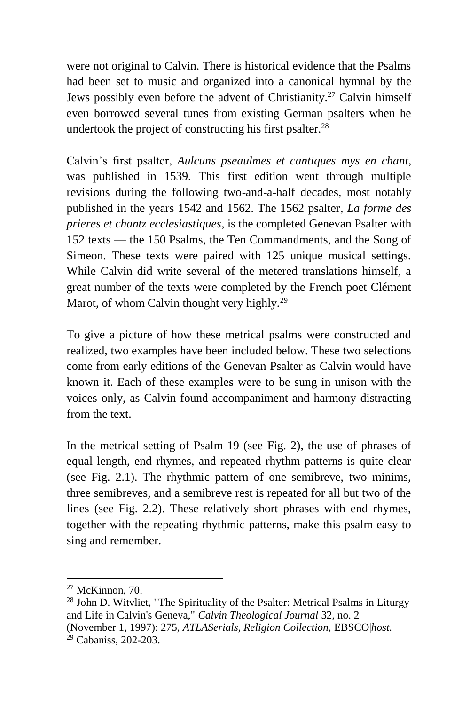were not original to Calvin. There is historical evidence that the Psalms had been set to music and organized into a canonical hymnal by the Jews possibly even before the advent of Christianity.<sup>27</sup> Calvin himself even borrowed several tunes from existing German psalters when he undertook the project of constructing his first psalter.<sup>28</sup>

Calvin's first psalter, *Aulcuns pseaulmes et cantiques mys en chant*, was published in 1539. This first edition went through multiple revisions during the following two-and-a-half decades, most notably published in the years 1542 and 1562. The 1562 psalter, *La forme des prieres et chantz ecclesiastiques*, is the completed Genevan Psalter with 152 texts — the 150 Psalms, the Ten Commandments, and the Song of Simeon. These texts were paired with 125 unique musical settings. While Calvin did write several of the metered translations himself, a great number of the texts were completed by the French poet Clément Marot, of whom Calvin thought very highly.<sup>29</sup>

To give a picture of how these metrical psalms were constructed and realized, two examples have been included below. These two selections come from early editions of the Genevan Psalter as Calvin would have known it. Each of these examples were to be sung in unison with the voices only, as Calvin found accompaniment and harmony distracting from the text.

In the metrical setting of Psalm 19 (see Fig. 2), the use of phrases of equal length, end rhymes, and repeated rhythm patterns is quite clear (see Fig. 2.1). The rhythmic pattern of one semibreve, two minims, three semibreves, and a semibreve rest is repeated for all but two of the lines (see Fig. 2.2). These relatively short phrases with end rhymes, together with the repeating rhythmic patterns, make this psalm easy to sing and remember.

 $27$  McKinnon, 70.

 $28$  John D. Witvliet, "The Spirituality of the Psalter: Metrical Psalms in Liturgy and Life in Calvin's Geneva," *Calvin Theological Journal* 32, no. 2 (November 1, 1997): 275, *ATLASerials, Religion Collection,* EBSCO|*host.* <sup>29</sup> Cabaniss, 202-203.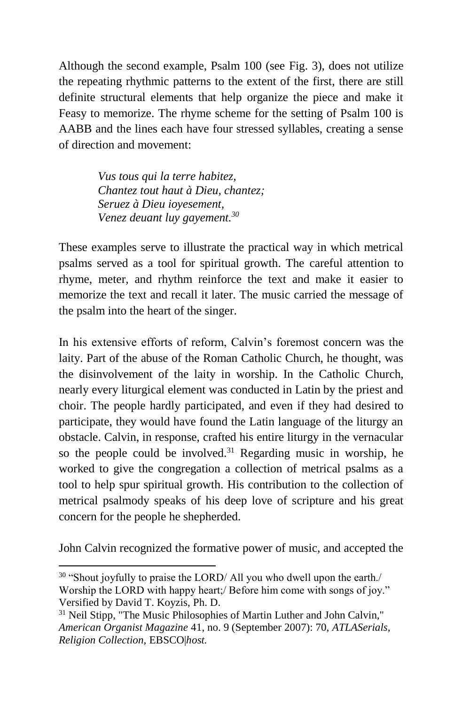Although the second example, Psalm 100 (see Fig. 3), does not utilize the repeating rhythmic patterns to the extent of the first, there are still definite structural elements that help organize the piece and make it Feasy to memorize. The rhyme scheme for the setting of Psalm 100 is AABB and the lines each have four stressed syllables, creating a sense of direction and movement:

> *Vus tous qui la terre habitez, Chantez tout haut à Dieu, chantez; Seruez à Dieu ioyesement, Venez deuant luy gayement.<sup>30</sup>*

These examples serve to illustrate the practical way in which metrical psalms served as a tool for spiritual growth. The careful attention to rhyme, meter, and rhythm reinforce the text and make it easier to memorize the text and recall it later. The music carried the message of the psalm into the heart of the singer.

In his extensive efforts of reform, Calvin's foremost concern was the laity. Part of the abuse of the Roman Catholic Church, he thought, was the disinvolvement of the laity in worship. In the Catholic Church, nearly every liturgical element was conducted in Latin by the priest and choir. The people hardly participated, and even if they had desired to participate, they would have found the Latin language of the liturgy an obstacle. Calvin, in response, crafted his entire liturgy in the vernacular so the people could be involved.<sup>31</sup> Regarding music in worship, he worked to give the congregation a collection of metrical psalms as a tool to help spur spiritual growth. His contribution to the collection of metrical psalmody speaks of his deep love of scripture and his great concern for the people he shepherded.

John Calvin recognized the formative power of music, and accepted the

<sup>&</sup>lt;sup>30</sup> "Shout joyfully to praise the LORD/ All you who dwell upon the earth./ Worship the LORD with happy heart;/ Before him come with songs of joy." Versified by David T. Koyzis, Ph. D.

<sup>&</sup>lt;sup>31</sup> Neil Stipp, "The Music Philosophies of Martin Luther and John Calvin," *American Organist Magazine* 41, no. 9 (September 2007): 70, *ATLASerials, Religion Collection,* EBSCO|*host.*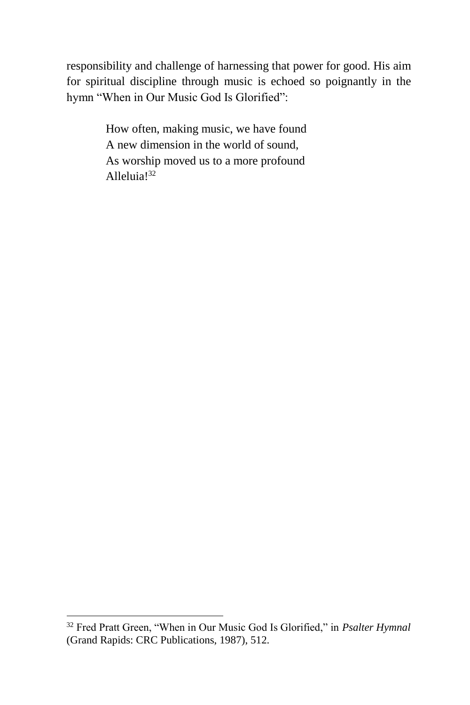responsibility and challenge of harnessing that power for good. His aim for spiritual discipline through music is echoed so poignantly in the hymn "When in Our Music God Is Glorified":

> How often, making music, we have found A new dimension in the world of sound, As worship moved us to a more profound Alleluia!<sup>32</sup>

<sup>32</sup> Fred Pratt Green, "When in Our Music God Is Glorified," in *Psalter Hymnal* (Grand Rapids: CRC Publications, 1987), 512.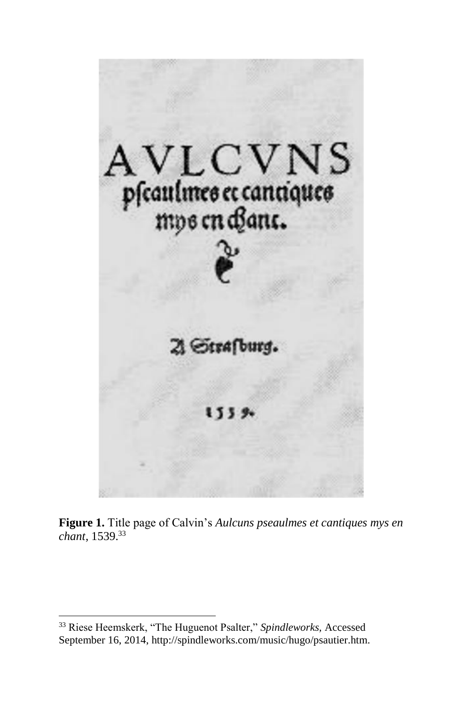

**Figure 1.** Title page of Calvin's *Aulcuns pseaulmes et cantiques mys en chant*, 1539.<sup>33</sup>

<sup>33</sup> Riese Heemskerk, "The Huguenot Psalter," *Spindleworks,* Accessed September 16, 2014, http://spindleworks.com/music/hugo/psautier.htm.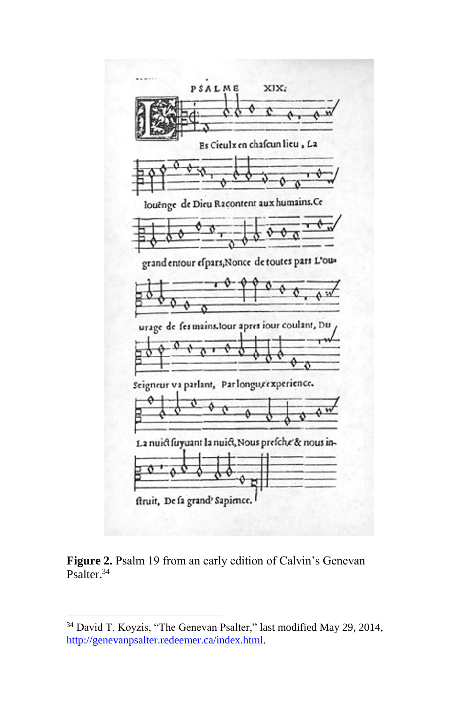

Figure 2. Psalm 19 from an early edition of Calvin's Genevan Psalter.<sup>34</sup>

<sup>34</sup> David T. Koyzis, "The Genevan Psalter," last modified May 29, 2014, [http://genevanpsalter.redeemer.ca/index.html.](http://genevanpsalter.redeemer.ca/index.html)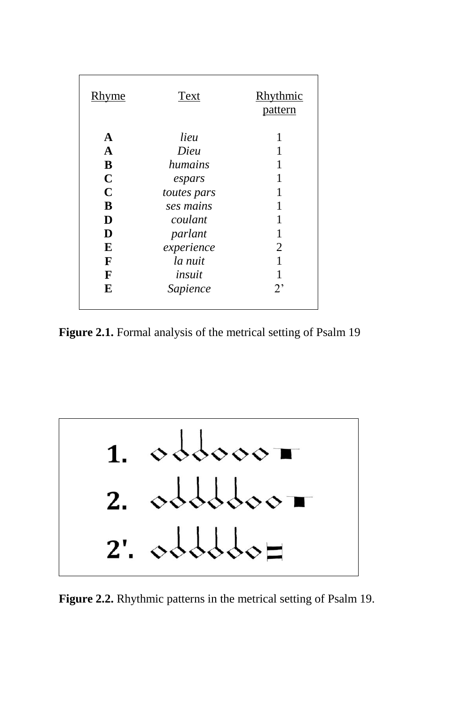| <b>Rhyme</b> | Text        | Rhythmic<br>pattern |
|--------------|-------------|---------------------|
| A            | lieu        | 1                   |
| $\mathbf A$  | Dieu        |                     |
| B            | humains     | 1                   |
| $\mathbf C$  | espars      | 1                   |
| $\mathbf C$  | toutes pars | 1                   |
| B            | ses mains   |                     |
| D            | coulant     | 1                   |
| D            | parlant     | 1                   |
| E            | experience  | 2                   |
| F            | la nuit     | 1                   |
| F            | insuit      |                     |
| E            | Sapience    | $2^{\circ}$         |
|              |             |                     |

**Figure 2.1.** Formal analysis of the metrical setting of Psalm 19



**Figure 2.2.** Rhythmic patterns in the metrical setting of Psalm 19.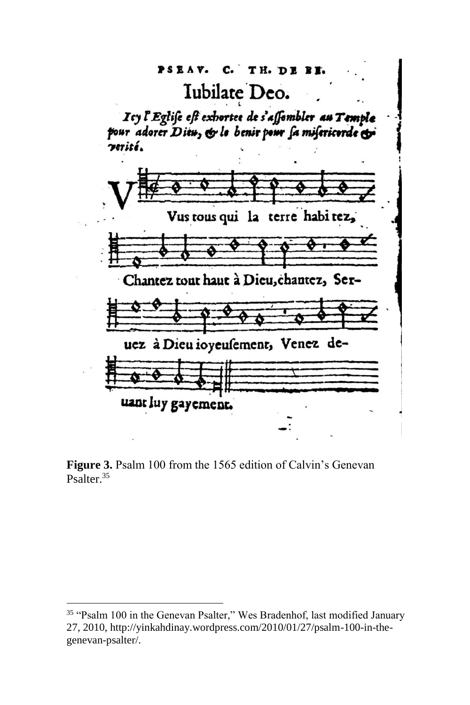#### $C.$  TH. DE BI. PSEAV.

## Iubilate Deo.

Icy l'Eglise est exhortee de s'affembler au Temple pour adorer Dieu, & le benir pour sa misericorde & verité.



**Figure 3.** Psalm 100 from the 1565 edition of Calvin's Genevan Psalter.<sup>35</sup>

<sup>&</sup>lt;sup>35</sup> "Psalm 100 in the Genevan Psalter," Wes Bradenhof, last modified January 27, 2010, http://yinkahdinay.wordpress.com/2010/01/27/psalm-100-in-thegenevan-psalter/.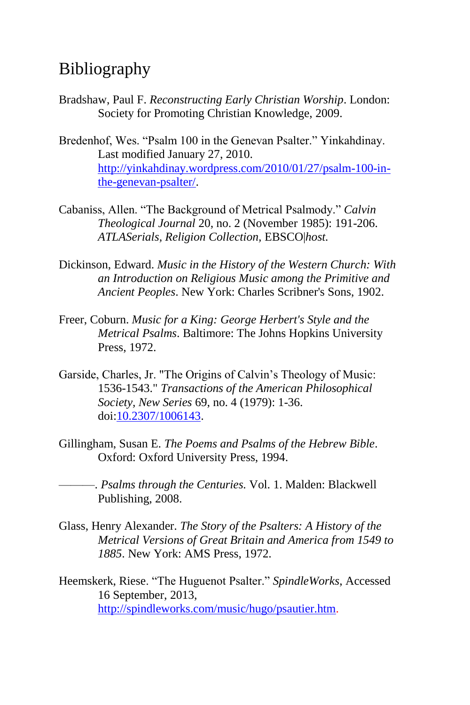### Bibliography

- Bradshaw, Paul F. *Reconstructing Early Christian Worship*. London: Society for Promoting Christian Knowledge, 2009.
- Bredenhof, Wes. "Psalm 100 in the Genevan Psalter." Yinkahdinay. Last modified January 27, 2010. [http://yinkahdinay.wordpress.com/2010/01/27/psalm-100-in](http://yinkahdinay.wordpress.com/2010/01/27/psalm-100-in-the-genevan-psalter/)[the-genevan-psalter/.](http://yinkahdinay.wordpress.com/2010/01/27/psalm-100-in-the-genevan-psalter/)
- Cabaniss, Allen. "The Background of Metrical Psalmody." *Calvin Theological Journal* 20, no. 2 (November 1985): 191-206. *ATLASerials, Religion Collection,* EBSCO|*host.*
- Dickinson, Edward. *Music in the History of the Western Church: With an Introduction on Religious Music among the Primitive and Ancient Peoples*. New York: Charles Scribner's Sons, 1902.
- Freer, Coburn. *Music for a King: George Herbert's Style and the Metrical Psalms*. Baltimore: The Johns Hopkins University Press, 1972.
- Garside, Charles, Jr. "The Origins of Calvin's Theology of Music: 1536-1543." *Transactions of the American Philosophical Society, New Series* 69, no. 4 (1979): 1-36. doi[:10.2307/1006143.](http://dx.doi.org/10.2307/1006143)
- Gillingham, Susan E. *The Poems and Psalms of the Hebrew Bible*. Oxford: Oxford University Press, 1994.
	- ———. *Psalms through the Centuries.* Vol. 1. Malden: Blackwell Publishing, 2008.
- Glass, Henry Alexander. *The Story of the Psalters: A History of the Metrical Versions of Great Britain and America from 1549 to 1885*. New York: AMS Press, 1972.
- Heemskerk, Riese. "The Huguenot Psalter." *SpindleWorks*, Accessed 16 September, 2013, [http://spindleworks.com/music/hugo/psautier.htm.](http://spindleworks.com/music/hugo/psautier.htm)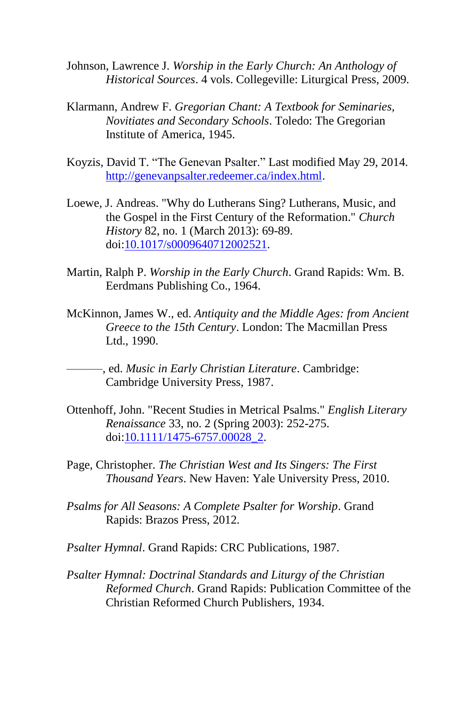- Johnson, Lawrence J. *Worship in the Early Church: An Anthology of Historical Sources*. 4 vols. Collegeville: Liturgical Press, 2009.
- Klarmann, Andrew F. *Gregorian Chant: A Textbook for Seminaries, Novitiates and Secondary Schools*. Toledo: The Gregorian Institute of America, 1945.
- Koyzis, David T. "The Genevan Psalter." Last modified May 29, 2014. [http://genevanpsalter.redeemer.ca/index.html.](http://genevanpsalter.redeemer.ca/index.html)
- Loewe, J. Andreas. "Why do Lutherans Sing? Lutherans, Music, and the Gospel in the First Century of the Reformation." *Church History* 82, no. 1 (March 2013): 69-89. doi[:10.1017/s0009640712002521.](http://dx.doi.org/10.1017/s0009640712002521)
- Martin, Ralph P. *Worship in the Early Church*. Grand Rapids: Wm. B. Eerdmans Publishing Co., 1964.
- McKinnon, James W., ed. *Antiquity and the Middle Ages: from Ancient Greece to the 15th Century*. London: The Macmillan Press Ltd., 1990.
- ———, ed. *Music in Early Christian Literature*. Cambridge: Cambridge University Press, 1987.
- Ottenhoff, John. "Recent Studies in Metrical Psalms." *English Literary Renaissance* 33, no. 2 (Spring 2003): 252-275. doi[:10.1111/1475-6757.00028\\_2.](http://dx.doi.org/10.1111/1475-6757.00028_2)
- Page, Christopher. *The Christian West and Its Singers: The First Thousand Years*. New Haven: Yale University Press, 2010.
- *Psalms for All Seasons: A Complete Psalter for Worship*. Grand Rapids: Brazos Press, 2012.
- *Psalter Hymnal*. Grand Rapids: CRC Publications, 1987.
- *Psalter Hymnal: Doctrinal Standards and Liturgy of the Christian Reformed Church*. Grand Rapids: Publication Committee of the Christian Reformed Church Publishers, 1934.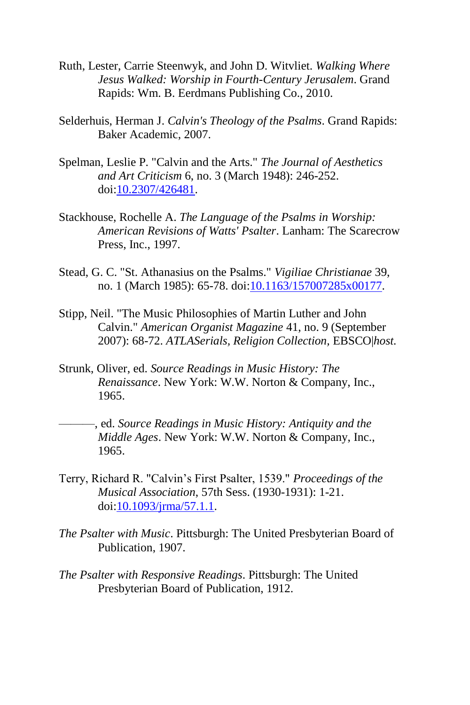- Ruth, Lester, Carrie Steenwyk, and John D. Witvliet. *Walking Where Jesus Walked: Worship in Fourth-Century Jerusalem*. Grand Rapids: Wm. B. Eerdmans Publishing Co., 2010.
- Selderhuis, Herman J. *Calvin's Theology of the Psalms*. Grand Rapids: Baker Academic, 2007.
- Spelman, Leslie P. "Calvin and the Arts." *The Journal of Aesthetics and Art Criticism* 6, no. 3 (March 1948): 246-252. doi[:10.2307/426481.](http://dx.doi.org/10.2307/426481)
- Stackhouse, Rochelle A. *The Language of the Psalms in Worship: American Revisions of Watts' Psalter*. Lanham: The Scarecrow Press, Inc., 1997.
- Stead, G. C. "St. Athanasius on the Psalms." *Vigiliae Christianae* 39, no. 1 (March 1985): 65-78. doi[:10.1163/157007285x00177.](http://dx.doi.org/10.1163/157007285x00177)
- Stipp, Neil. "The Music Philosophies of Martin Luther and John Calvin." *American Organist Magazine* 41, no. 9 (September 2007): 68-72. *ATLASerials, Religion Collection,* EBSCO|*host.*
- Strunk, Oliver, ed. *Source Readings in Music History: The Renaissance*. New York: W.W. Norton & Company, Inc., 1965.
- ———, ed. *Source Readings in Music History: Antiquity and the Middle Ages*. New York: W.W. Norton & Company, Inc., 1965.
- Terry, Richard R. "Calvin's First Psalter, 1539." *Proceedings of the Musical Association*, 57th Sess. (1930-1931): 1-21. doi[:10.1093/jrma/57.1.1.](http://dx.doi.org/10.1093/jrma/57.1.1)
- *The Psalter with Music*. Pittsburgh: The United Presbyterian Board of Publication, 1907.
- *The Psalter with Responsive Readings*. Pittsburgh: The United Presbyterian Board of Publication, 1912.